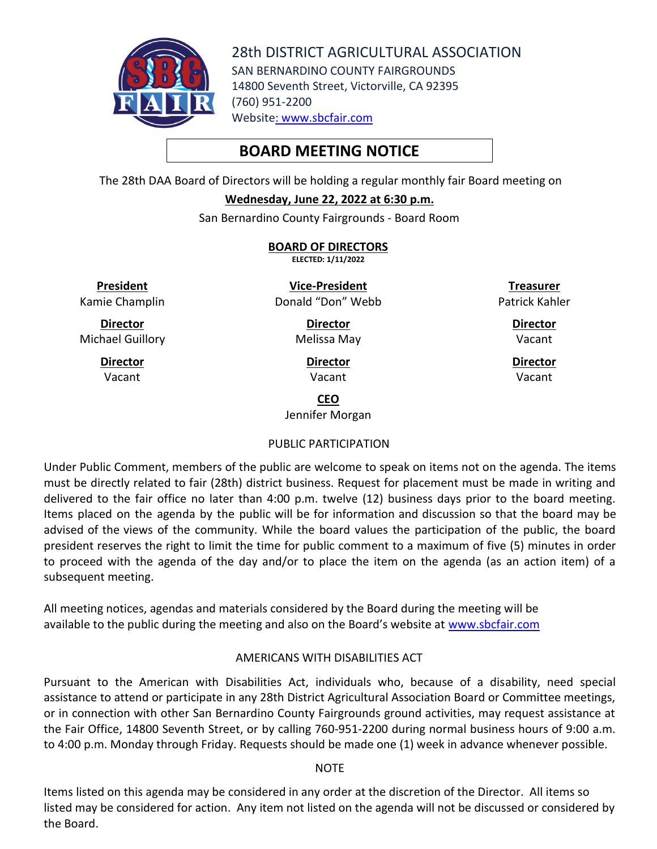

28th DISTRICT AGRICULTURAL ASSOCIATION SAN BERNARDINO COUNTY FAIRGROUNDS 14800 Seventh Street, Victorville, CA 92395 (760) 951-2200 Website: [www.sbcfair.com](http://www.sbcfair.com/)

# **BOARD MEETING NOTICE**

The 28th DAA Board of Directors will be holding a regular monthly fair Board meeting on

#### **Wednesday, June 22, 2022 at 6:30 p.m.**

San Bernardino County Fairgrounds - Board Room

**BOARD OF DIRECTORS ELECTED: 1/11/2022**

**President** Kamie Champlin

**Director** Michael Guillory

> **Director** Vacant

**Vice-President** Donald "Don" Webb

> **Director** Melissa May

> > **Director** Vacant

**Treasurer** Patrick Kahler

> **Director** Vacant

**Director** Vacant

**CEO**

Jennifer Morgan

# PUBLIC PARTICIPATION

Under Public Comment, members of the public are welcome to speak on items not on the agenda. The items must be directly related to fair (28th) district business. Request for placement must be made in writing and delivered to the fair office no later than 4:00 p.m. twelve (12) business days prior to the board meeting. Items placed on the agenda by the public will be for information and discussion so that the board may be advised of the views of the community. While the board values the participation of the public, the board president reserves the right to limit the time for public comment to a maximum of five (5) minutes in order to proceed with the agenda of the day and/or to place the item on the agenda (as an action item) of a subsequent meeting.

All meeting notices, agendas and materials considered by the Board during the meeting will be available to the public during the meeting and also on the Board's website at [www.sbcfair.com](http://www.sbcfair.com/)

# AMERICANS WITH DISABILITIES ACT

Pursuant to the American with Disabilities Act, individuals who, because of a disability, need special assistance to attend or participate in any 28th District Agricultural Association Board or Committee meetings, or in connection with other San Bernardino County Fairgrounds ground activities, may request assistance at the Fair Office, 14800 Seventh Street, or by calling 760-951-2200 during normal business hours of 9:00 a.m. to 4:00 p.m. Monday through Friday. Requests should be made one (1) week in advance whenever possible.

#### **NOTE**

Items listed on this agenda may be considered in any order at the discretion of the Director. All items so listed may be considered for action. Any item not listed on the agenda will not be discussed or considered by the Board.